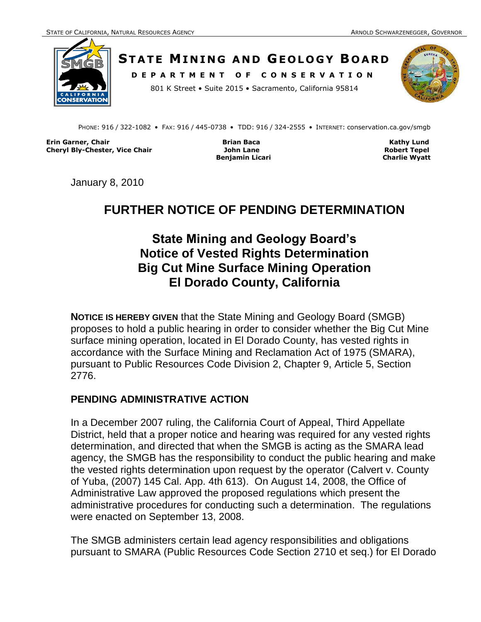

**STATE MINING AND GEOLOGY BOARD D E P A R T M E N T O F C O N S E R V A T I O N**





PHONE: 916 / 322-1082 • FAX: 916 / 445-0738 • TDD: 916 / 324-2555 • INTERNET: conservation.ca.gov/smgb

**Erin Garner, Chair Brian Baca Kathy Lund Cheryl Bly-Chester, Vice Chair John Lane Robert Tepel**

**Benjamin Licari** Charlie Wyatt

January 8, 2010

# **FURTHER NOTICE OF PENDING DETERMINATION**

# **State Mining and Geology Board's Notice of Vested Rights Determination Big Cut Mine Surface Mining Operation El Dorado County, California**

**NOTICE IS HEREBY GIVEN** that the State Mining and Geology Board (SMGB) proposes to hold a public hearing in order to consider whether the Big Cut Mine surface mining operation, located in El Dorado County, has vested rights in accordance with the Surface Mining and Reclamation Act of 1975 (SMARA), pursuant to Public Resources Code Division 2, Chapter 9, Article 5, Section 2776.

#### **PENDING ADMINISTRATIVE ACTION**

In a December 2007 ruling, the California Court of Appeal, Third Appellate District, held that a proper notice and hearing was required for any vested rights determination, and directed that when the SMGB is acting as the SMARA lead agency, the SMGB has the responsibility to conduct the public hearing and make the vested rights determination upon request by the operator (Calvert v. County of Yuba, (2007) 145 Cal. App. 4th 613). On August 14, 2008, the Office of Administrative Law approved the proposed regulations which present the administrative procedures for conducting such a determination. The regulations were enacted on September 13, 2008.

The SMGB administers certain lead agency responsibilities and obligations pursuant to SMARA (Public Resources Code Section 2710 et seq.) for El Dorado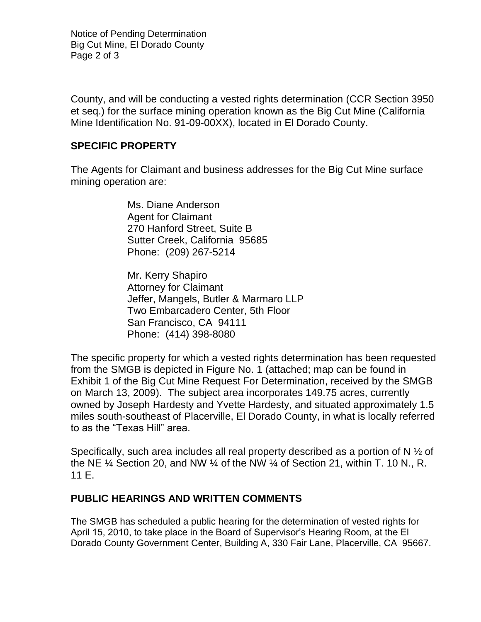Notice of Pending Determination Big Cut Mine, El Dorado County Page 2 of 3

County, and will be conducting a vested rights determination (CCR Section 3950 et seq.) for the surface mining operation known as the Big Cut Mine (California Mine Identification No. 91-09-00XX), located in El Dorado County.

#### **SPECIFIC PROPERTY**

The Agents for Claimant and business addresses for the Big Cut Mine surface mining operation are:

> Ms. Diane Anderson Agent for Claimant 270 Hanford Street, Suite B Sutter Creek, California 95685 Phone: (209) 267-5214

 Mr. Kerry Shapiro Attorney for Claimant Jeffer, Mangels, Butler & Marmaro LLP Two Embarcadero Center, 5th Floor San Francisco, CA 94111 Phone: (414) 398-8080

The specific property for which a vested rights determination has been requested from the SMGB is depicted in Figure No. 1 (attached; map can be found in Exhibit 1 of the Big Cut Mine Request For Determination, received by the SMGB on March 13, 2009). The subject area incorporates 149.75 acres, currently owned by Joseph Hardesty and Yvette Hardesty, and situated approximately 1.5 miles south-southeast of Placerville, El Dorado County, in what is locally referred to as the "Texas Hill" area.

Specifically, such area includes all real property described as a portion of N  $\frac{1}{2}$  of the NE  $\frac{1}{4}$  Section 20, and NW  $\frac{1}{4}$  of the NW  $\frac{1}{4}$  of Section 21, within T. 10 N., R. 11 E.

## **PUBLIC HEARINGS AND WRITTEN COMMENTS**

The SMGB has scheduled a public hearing for the determination of vested rights for April 15, 2010, to take place in the Board of Supervisor's Hearing Room, at the El Dorado County Government Center, Building A, 330 Fair Lane, Placerville, CA 95667.